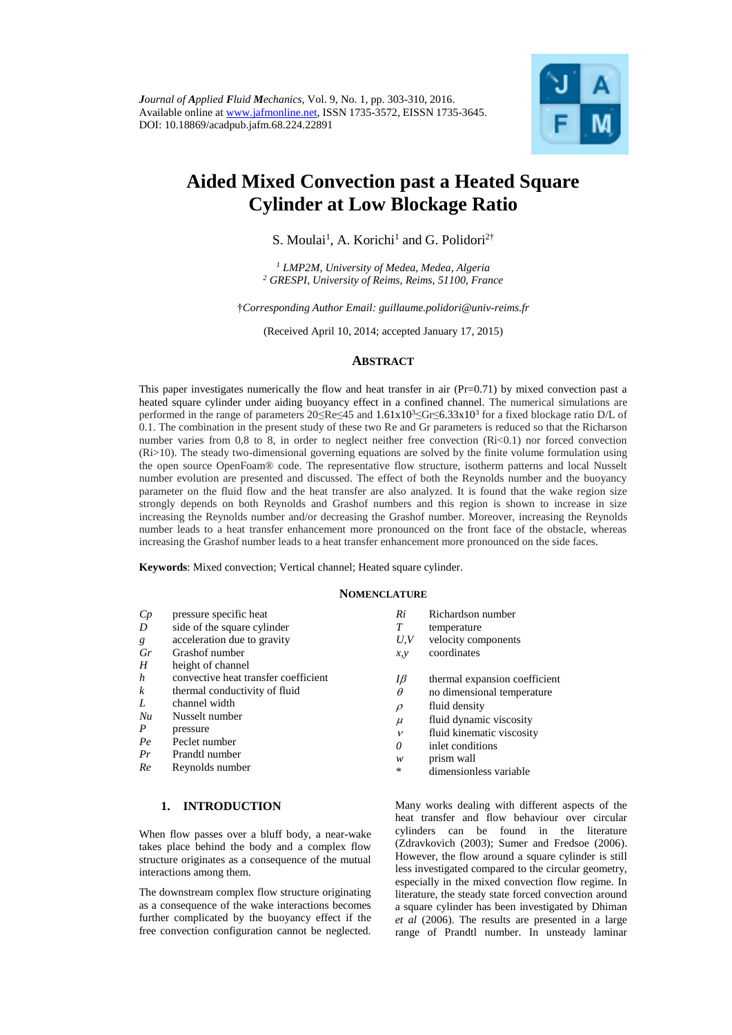

# **Aided Mixed Convection past a Heated Square Cylinder at Low Blockage Ratio**

S. Moulai<sup>1</sup>, A. Korichi<sup>1</sup> and G. Polidori<sup>2†</sup>

*<sup>1</sup> LMP2M, University of Medea, Medea, Algeria <sup>2</sup> GRESPI, University of Reims, Reims, 51100, France*

†*Corresponding Author Email[: guillaume.polidori@univ-reims.fr](mailto:guillaume.polidori@univ-reims.fr)*

(Received April 10, 2014; accepted January 17, 2015)

# **ABSTRACT**

This paper investigates numerically the flow and heat transfer in air (Pr=0.71) by mixed convection past a heated square cylinder under aiding buoyancy effect in a confined channel. The numerical simulations are performed in the range of parameters  $20 \leq Re \leq 45$  and  $1.61 \times 10^3 \leq Gr \leq 6.33 \times 10^3$  for a fixed blockage ratio D/L of 0.1. The combination in the present study of these two Re and Gr parameters is reduced so that the Richarson number varies from 0,8 to 8, in order to neglect neither free convection (Ri<0.1) nor forced convection (Ri>10). The steady two-dimensional governing equations are solved by the finite volume formulation using the open source OpenFoam® code. The representative flow structure, isotherm patterns and local Nusselt number evolution are presented and discussed. The effect of both the Reynolds number and the buoyancy parameter on the fluid flow and the heat transfer are also analyzed. It is found that the wake region size strongly depends on both Reynolds and Grashof numbers and this region is shown to increase in size increasing the Reynolds number and/or decreasing the Grashof number. Moreover, increasing the Reynolds number leads to a heat transfer enhancement more pronounced on the front face of the obstacle, whereas increasing the Grashof number leads to a heat transfer enhancement more pronounced on the side faces.

**Keywords**: Mixed convection; Vertical channel; Heated square cylinder.

#### **NOMENCLATURE**

| Cp               | pressure specific heat               | Ri           | Richardson number             |
|------------------|--------------------------------------|--------------|-------------------------------|
| D                | side of the square cylinder          | T            | temperature                   |
| g                | acceleration due to gravity          | U, V         | velocity components           |
| Gr               | Grashof number                       | x, y         | coordinates                   |
| H                | height of channel                    |              |                               |
| $\boldsymbol{h}$ | convective heat transfer coefficient | Iβ           | thermal expansion coefficient |
| $\boldsymbol{k}$ | thermal conductivity of fluid        | $\theta$     | no dimensional temperature    |
| L                | channel width                        | $\rho$       | fluid density                 |
| Nu               | Nusselt number                       | $\mu$        | fluid dynamic viscosity       |
| $\boldsymbol{P}$ | pressure                             | $\mathcal V$ | fluid kinematic viscosity     |
| Pe               | Peclet number                        | 0            | inlet conditions              |
| Pr               | Prandtl number                       | w            | prism wall                    |
| Re               | Reynolds number                      | $\ast$       | dimensionless variable        |

## **1. INTRODUCTION**

When flow passes over a bluff body, a near-wake takes place behind the body and a complex flow structure originates as a consequence of the mutual interactions among them.

The downstream complex flow structure originating as a consequence of the wake interactions becomes further complicated by the buoyancy effect if the free convection configuration cannot be neglected.

| Many works dealing with different aspects of the          |  |  |  |  |
|-----------------------------------------------------------|--|--|--|--|
| heat transfer and flow behaviour over circular            |  |  |  |  |
| cylinders can be found in the literature                  |  |  |  |  |
| (Zdravkovich (2003); Sumer and Fredsoe (2006).            |  |  |  |  |
| However, the flow around a square cylinder is still       |  |  |  |  |
| less investigated compared to the circular geometry,      |  |  |  |  |
| especially in the mixed convection flow regime. In        |  |  |  |  |
| literature, the steady state forced convection around     |  |  |  |  |
| a square cylinder has been investigated by Dhiman         |  |  |  |  |
| <i>et al</i> (2006). The results are presented in a large |  |  |  |  |
| range of Prandtl number. In unsteady laminar              |  |  |  |  |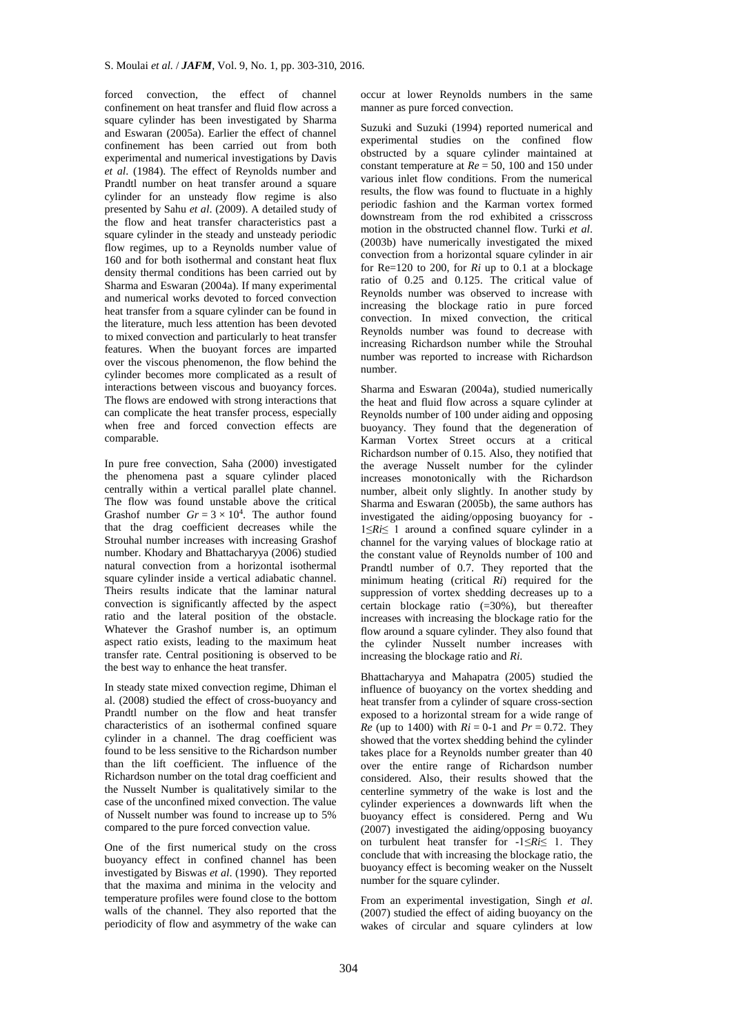forced convection, the effect of channel confinement on heat transfer and fluid flow across a square cylinder has been investigated by Sharma and Eswaran (2005a). Earlier the effect of channel confinement has been carried out from both experimental and numerical investigations by Davis *et al*. (1984). The effect of Reynolds number and Prandtl number on heat transfer around a square cylinder for an unsteady flow regime is also presented by Sahu *et al*. (2009). A detailed study of the flow and heat transfer characteristics past a square cylinder in the steady and unsteady periodic flow regimes, up to a Reynolds number value of 160 and for both isothermal and constant heat flux density thermal conditions has been carried out by Sharma and Eswaran (2004a). If many experimental and numerical works devoted to forced convection heat transfer from a square cylinder can be found in the literature, much less attention has been devoted to mixed convection and particularly to heat transfer features. When the buoyant forces are imparted over the viscous phenomenon, the flow behind the cylinder becomes more complicated as a result of interactions between viscous and buoyancy forces. The flows are endowed with strong interactions that can complicate the heat transfer process, especially when free and forced convection effects are comparable.

In pure free convection, Saha (2000) investigated the phenomena past a square cylinder placed centrally within a vertical parallel plate channel. The flow was found unstable above the critical Grashof number  $Gr = 3 \times 10^4$ . The author found that the drag coefficient decreases while the Strouhal number increases with increasing Grashof number. Khodary and Bhattacharyya (2006) studied natural convection from a horizontal isothermal square cylinder inside a vertical adiabatic channel. Theirs results indicate that the laminar natural convection is significantly affected by the aspect ratio and the lateral position of the obstacle. Whatever the Grashof number is, an optimum aspect ratio exists, leading to the maximum heat transfer rate. Central positioning is observed to be the best way to enhance the heat transfer.

In steady state mixed convection regime, Dhiman el al. (2008) studied the effect of cross-buoyancy and Prandtl number on the flow and heat transfer characteristics of an isothermal confined square cylinder in a channel. The drag coefficient was found to be less sensitive to the Richardson number than the lift coefficient. The influence of the Richardson number on the total drag coefficient and the Nusselt Number is qualitatively similar to the case of the unconfined mixed convection. The value of Nusselt number was found to increase up to 5% compared to the pure forced convection value.

One of the first numerical study on the cross buoyancy effect in confined channel has been investigated by Biswas *et al*. (1990). They reported that the maxima and minima in the velocity and temperature profiles were found close to the bottom walls of the channel. They also reported that the periodicity of flow and asymmetry of the wake can

occur at lower Reynolds numbers in the same manner as pure forced convection.

Suzuki and Suzuki (1994) reported numerical and experimental studies on the confined flow obstructed by a square cylinder maintained at constant temperature at *Re* = 50, 100 and 150 under various inlet flow conditions. From the numerical results, the flow was found to fluctuate in a highly periodic fashion and the Karman vortex formed downstream from the rod exhibited a crisscross motion in the obstructed channel flow. Turki *et al*. (2003b) have numerically investigated the mixed convection from a horizontal square cylinder in air for Re=120 to 200, for *Ri* up to 0.1 at a blockage ratio of 0.25 and 0.125. The critical value of Reynolds number was observed to increase with increasing the blockage ratio in pure forced convection. In mixed convection, the critical Reynolds number was found to decrease with increasing Richardson number while the Strouhal number was reported to increase with Richardson number.

Sharma and Eswaran (2004a), studied numerically the heat and fluid flow across a square cylinder at Reynolds number of 100 under aiding and opposing buoyancy. They found that the degeneration of Karman Vortex Street occurs at a critical Richardson number of 0.15. Also, they notified that the average Nusselt number for the cylinder increases monotonically with the Richardson number, albeit only slightly. In another study by Sharma and Eswaran (2005b), the same authors has investigated the aiding/opposing buoyancy for - 1≤*Ri*≤ 1 around a confined square cylinder in a channel for the varying values of blockage ratio at the constant value of Reynolds number of 100 and Prandtl number of 0.7. They reported that the minimum heating (critical *Ri*) required for the suppression of vortex shedding decreases up to a certain blockage ratio  $(=30\%)$ , but thereafter increases with increasing the blockage ratio for the flow around a square cylinder. They also found that the cylinder Nusselt number increases with increasing the blockage ratio and *Ri*.

Bhattacharyya and Mahapatra (2005) studied the influence of buoyancy on the vortex shedding and heat transfer from a cylinder of square cross-section exposed to a horizontal stream for a wide range of *Re* (up to 1400) with  $Ri = 0$ -1 and  $Pr = 0.72$ . They showed that the vortex shedding behind the cylinder takes place for a Reynolds number greater than 40 over the entire range of Richardson number considered. Also, their results showed that the centerline symmetry of the wake is lost and the cylinder experiences a downwards lift when the buoyancy effect is considered. Perng and Wu (2007) investigated the aiding/opposing buoyancy on turbulent heat transfer for -1≤*Ri*≤ 1. They conclude that with increasing the blockage ratio, the buoyancy effect is becoming weaker on the Nusselt number for the square cylinder.

From an experimental investigation, Singh *et al*. (2007) studied the effect of aiding buoyancy on the wakes of circular and square cylinders at low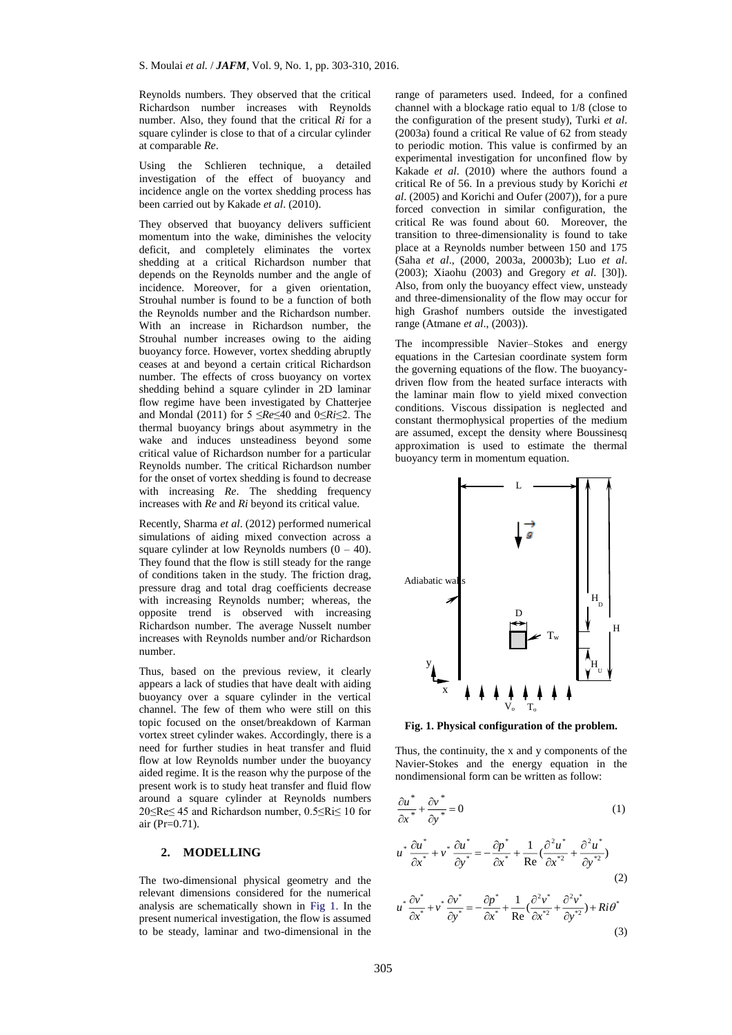Reynolds numbers. They observed that the critical Richardson number increases with Reynolds number. Also, they found that the critical *Ri* for a square cylinder is close to that of a circular cylinder at comparable *Re*.

Using the Schlieren technique, a detailed investigation of the effect of buoyancy and incidence angle on the vortex shedding process has been carried out by Kakade *et al*. (2010).

They observed that buoyancy delivers sufficient momentum into the wake, diminishes the velocity deficit, and completely eliminates the vortex shedding at a critical Richardson number that depends on the Reynolds number and the angle of incidence. Moreover, for a given orientation, Strouhal number is found to be a function of both the Reynolds number and the Richardson number. With an increase in Richardson number, the Strouhal number increases owing to the aiding buoyancy force. However, vortex shedding abruptly ceases at and beyond a certain critical Richardson number. The effects of cross buoyancy on vortex shedding behind a square cylinder in 2D laminar flow regime have been investigated by Chatterjee and Mondal (2011) for 5 ≤*Re*≤40 and 0≤*Ri*≤2. The thermal buoyancy brings about asymmetry in the wake and induces unsteadiness beyond some critical value of Richardson number for a particular Reynolds number. The critical Richardson number for the onset of vortex shedding is found to decrease with increasing *Re*. The shedding frequency increases with *Re* and *Ri* beyond its critical value.

Recently, Sharma *et al*. (2012) performed numerical simulations of aiding mixed convection across a square cylinder at low Reynolds numbers  $(0 - 40)$ . They found that the flow is still steady for the range of conditions taken in the study. The friction drag, pressure drag and total drag coefficients decrease with increasing Reynolds number; whereas, the opposite trend is observed with increasing Richardson number. The average Nusselt number increases with Reynolds number and/or Richardson number.

Thus, based on the previous review, it clearly appears a lack of studies that have dealt with aiding buoyancy over a square cylinder in the vertical channel. The few of them who were still on this topic focused on the onset/breakdown of Karman vortex street cylinder wakes. Accordingly, there is a need for further studies in heat transfer and fluid flow at low Reynolds number under the buoyancy aided regime. It is the reason why the purpose of the present work is to study heat transfer and fluid flow around a square cylinder at Reynolds numbers 20≤Re≤ 45 and Richardson number, 0.5≤Ri≤ 10 for air (Pr=0.71).

# **2. MODELLING**

The two-dimensional physical geometry and the relevant dimensions considered for the numerical analysis are schematically shown in Fig 1. In the present numerical investigation, the flow is assumed to be steady, laminar and two-dimensional in the

range of parameters used. Indeed, for a confined channel with a blockage ratio equal to 1/8 (close to the configuration of the present study), Turki *et al*. (2003a) found a critical Re value of 62 from steady to periodic motion. This value is confirmed by an experimental investigation for unconfined flow by Kakade *et al*. (2010) where the authors found a critical Re of 56. In a previous study by Korichi *et al*. (2005) and Korichi and Oufer (2007)), for a pure forced convection in similar configuration, the critical Re was found about 60. Moreover, the transition to three-dimensionality is found to take place at a Reynolds number between 150 and 175 (Saha *et al*., (2000, 2003a, 20003b); Luo *et al*. (2003); Xiaohu (2003) and Gregory *et al*. [30]). Also, from only the buoyancy effect view, unsteady and three-dimensionality of the flow may occur for high Grashof numbers outside the investigated range (Atmane *et al*., (2003)).

The incompressible Navier–Stokes and energy equations in the Cartesian coordinate system form the governing equations of the flow. The buoyancydriven flow from the heated surface interacts with the laminar main flow to yield mixed convection conditions. Viscous dissipation is neglected and constant thermophysical properties of the medium are assumed, except the density where Boussinesq approximation is used to estimate the thermal buoyancy term in momentum equation.



**Fig. 1. Physical configuration of the problem.**

Thus, the continuity, the x and y components of the Navier-Stokes and the energy equation in the nondimensional form can be written as follow:

$$
\frac{\partial u^*}{\partial x^*} + \frac{\partial v^*}{\partial y^*} = 0 \tag{1}
$$

$$
u^* \frac{\partial u^*}{\partial x^*} + v^* \frac{\partial u^*}{\partial y^*} = -\frac{\partial p^*}{\partial x^*} + \frac{1}{\text{Re}} \left( \frac{\partial^2 u^*}{\partial x^*} + \frac{\partial^2 u^*}{\partial y^*} \right)
$$
(2)

$$
u^* \frac{\partial v^*}{\partial x^*} + v^* \frac{\partial v^*}{\partial y^*} = -\frac{\partial p^*}{\partial x^*} + \frac{1}{\text{Re}} \left( \frac{\partial^2 v^*}{\partial x^{*2}} + \frac{\partial^2 v^*}{\partial y^{*2}} \right) + Ri \theta^*
$$
\n(3)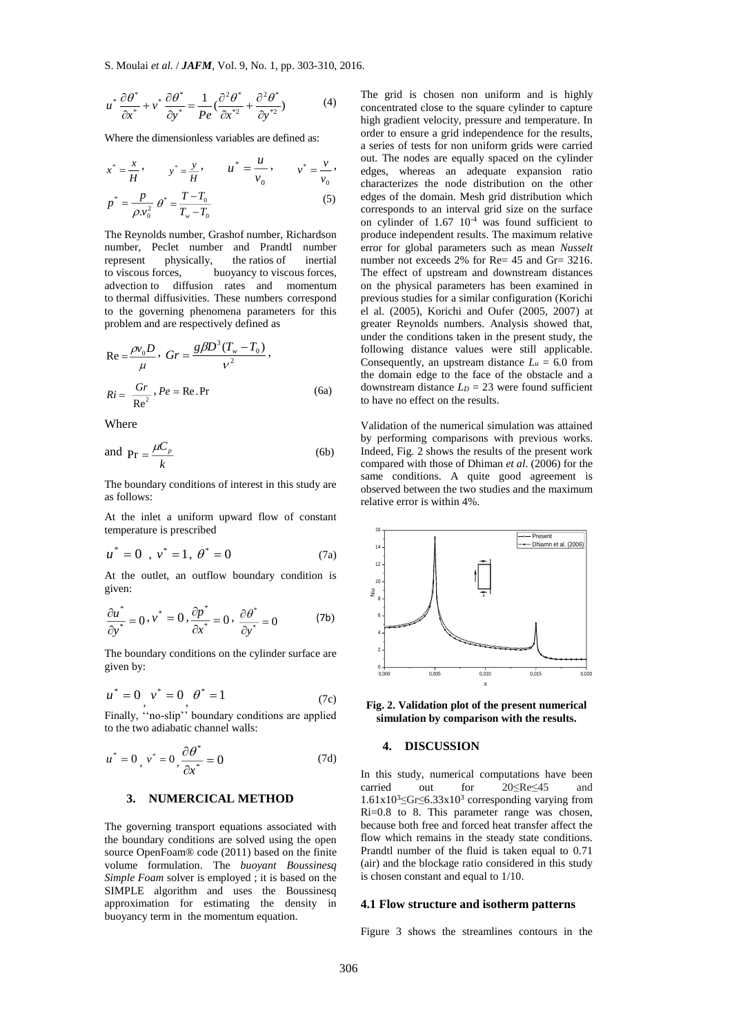$$
u^* \frac{\partial \theta^*}{\partial x^*} + v^* \frac{\partial \theta^*}{\partial y^*} = \frac{1}{Pe} \left( \frac{\partial^2 \theta^*}{\partial x^{*2}} + \frac{\partial^2 \theta^*}{\partial y^{*2}} \right)
$$
(4)

Where the dimensionless variables are defined as:

 $T_w - T_0$ 

$$
x^* = \frac{x}{H}, \qquad y^* = \frac{y}{H}, \qquad u^* = \frac{u}{v_0}, \qquad v^* = \frac{v}{v_0},
$$
  

$$
p^* = \frac{p}{\rho v_0^2} \theta^* = \frac{T - T_0}{T_w - T_0}
$$
 (5)

The Reynolds number, Grashof number, Richardson number, Peclet number and Prandtl number represent physically, the ratios of inertial to viscous forces, buoyancy to viscous forces, advection to diffusion rates and momentum to thermal diffusivities. These numbers correspond to the governing phenomena parameters for this problem and are respectively defined as

$$
Re = \frac{\rho v_0 D}{\mu}, \ Gr = \frac{g\beta D^3 (T_w - T_0)}{\nu^2},
$$
  

$$
Ri = \frac{Gr}{Re^2}, Pe = Re. Pr
$$
 (6a)

Where

and 
$$
Pr = \frac{\mu C_p}{k}
$$
 (6b)

The boundary conditions of interest in this study are as follows:

At the inlet a uniform upward flow of constant temperature is prescribed

$$
u^* = 0 \, , \, v^* = 1, \, \theta^* = 0 \tag{7a}
$$

At the outlet, an outflow boundary condition is given:

$$
\frac{\partial u^*}{\partial y^*} = 0, v^* = 0, \frac{\partial p^*}{\partial x^*} = 0, \frac{\partial \theta^*}{\partial y^*} = 0
$$
 (7b)

The boundary conditions on the cylinder surface are given by:

$$
u^* = 0 \, v^* = 0 \, \theta^* = 1 \tag{7c}
$$

Finally, ''no-slip'' boundary conditions are applied to the two adiabatic channel walls:

$$
u^* = 0, v^* = 0, \frac{\partial \theta^*}{\partial x^*} = 0
$$
 (7d)

# **3. NUMERCICAL METHOD**

The governing transport equations associated with the boundary conditions are solved using the open source OpenFoam® code (2011) based on the finite volume formulation. The *buoyant Boussinesq Simple Foam* solver is employed ; it is based on the SIMPLE algorithm and uses the Boussinesq approximation for estimating the density in buoyancy term in the momentum equation.

The grid is chosen non uniform and is highly concentrated close to the square cylinder to capture high gradient velocity, pressure and temperature. In order to ensure a grid independence for the results, a series of tests for non uniform grids were carried out. The nodes are equally spaced on the cylinder edges, whereas an adequate expansion ratio characterizes the node distribution on the other edges of the domain. Mesh grid distribution which corresponds to an interval grid size on the surface on cylinder of  $1.67 \times 10^{-4}$  was found sufficient to produce independent results. The maximum relative error for global parameters such as mean *Nusselt* number not exceeds 2% for Re= 45 and Gr= 3216. The effect of upstream and downstream distances on the physical parameters has been examined in previous studies for a similar configuration (Korichi el al. (2005), Korichi and Oufer (2005, 2007) at greater Reynolds numbers. Analysis showed that, under the conditions taken in the present study, the following distance values were still applicable. Consequently, an upstream distance  $L_u = 6.0$  from the domain edge to the face of the obstacle and a downstream distance  $L_p = 23$  were found sufficient to have no effect on the results.

Validation of the numerical simulation was attained by performing comparisons with previous works. Indeed, Fig. 2 shows the results of the present work compared with those of Dhiman *et al*. (2006) for the same conditions. A quite good agreement is observed between the two studies and the maximum relative error is within 4%.



**Fig. 2. Validation plot of the present numerical simulation by comparison with the results.**

### **4. DISCUSSION**

In this study, numerical computations have been<br>carried out for  $20 \leq Re \leq 45$  and 20≤Re≤45 and  $1.61x10<sup>3</sup> \leq Gr \leq 6.33x10<sup>3</sup>$  corresponding varying from Ri=0.8 to 8. This parameter range was chosen, because both free and forced heat transfer affect the flow which remains in the steady state conditions. Prandtl number of the fluid is taken equal to 0.71 (air) and the blockage ratio considered in this study is chosen constant and equal to 1/10.

#### **4.1 Flow structure and isotherm patterns**

Figure 3 shows the streamlines contours in the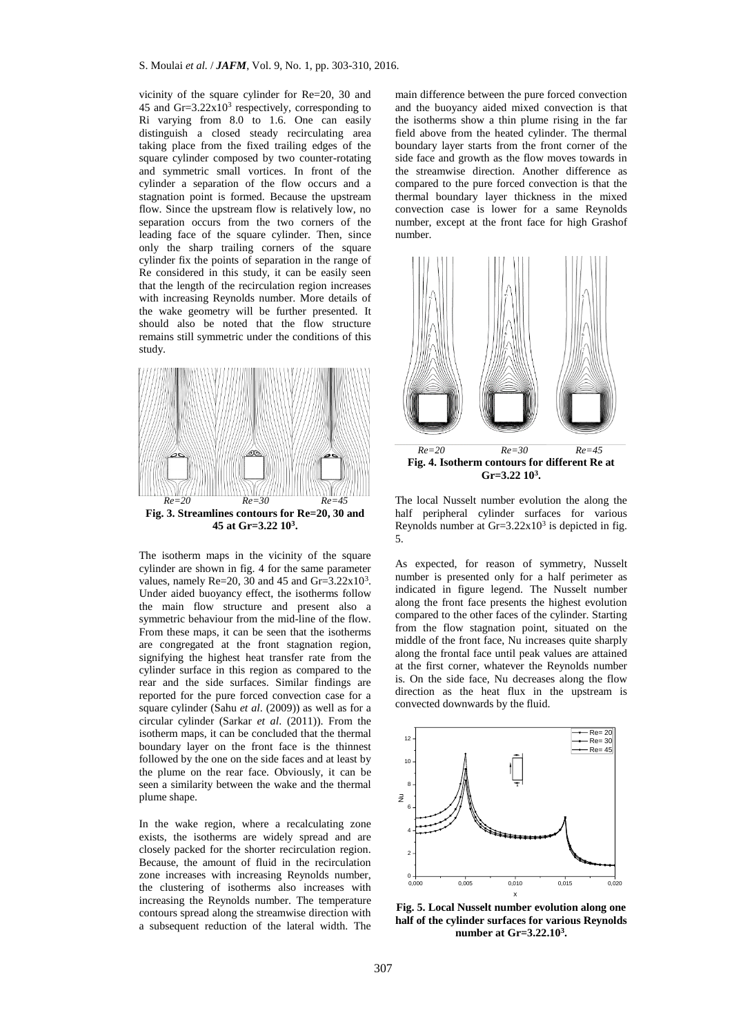vicinity of the square cylinder for Re=20, 30 and 45 and  $\text{Gr}=3.22 \times 10^3$  respectively, corresponding to Ri varying from 8.0 to 1.6. One can easily distinguish a closed steady recirculating area taking place from the fixed trailing edges of the square cylinder composed by two counter-rotating and symmetric small vortices. In front of the cylinder a separation of the flow occurs and a stagnation point is formed. Because the upstream flow. Since the upstream flow is relatively low, no separation occurs from the two corners of the leading face of the square cylinder. Then, since only the sharp trailing corners of the square cylinder fix the points of separation in the range of Re considered in this study, it can be easily seen that the length of the recirculation region increases with increasing Reynolds number. More details of the wake geometry will be further presented. It should also be noted that the flow structure remains still symmetric under the conditions of this study.



The isotherm maps in the vicinity of the square cylinder are shown in fig. 4 for the same parameter values, namely  $Re=20$ , 30 and 45 and  $Gr=3.22x10^3$ . Under aided buoyancy effect, the isotherms follow the main flow structure and present also a symmetric behaviour from the mid-line of the flow. From these maps, it can be seen that the isotherms are congregated at the front stagnation region, signifying the highest heat transfer rate from the cylinder surface in this region as compared to the rear and the side surfaces. Similar findings are reported for the pure forced convection case for a square cylinder (Sahu *et al*. (2009)) as well as for a circular cylinder (Sarkar *et al*. (2011)). From the isotherm maps, it can be concluded that the thermal boundary layer on the front face is the thinnest followed by the one on the side faces and at least by the plume on the rear face. Obviously, it can be seen a similarity between the wake and the thermal plume shape.

In the wake region, where a recalculating zone exists, the isotherms are widely spread and are closely packed for the shorter recirculation region. Because, the amount of fluid in the recirculation zone increases with increasing Reynolds number, the clustering of isotherms also increases with increasing the Reynolds number. The temperature contours spread along the streamwise direction with a subsequent reduction of the lateral width. The main difference between the pure forced convection and the buoyancy aided mixed convection is that the isotherms show a thin plume rising in the far field above from the heated cylinder. The thermal boundary layer starts from the front corner of the side face and growth as the flow moves towards in the streamwise direction. Another difference as compared to the pure forced convection is that the thermal boundary layer thickness in the mixed convection case is lower for a same Reynolds number, except at the front face for high Grashof number.



The local Nusselt number evolution the along the half peripheral cylinder surfaces for various Reynolds number at  $Gr=3.22x10^3$  is depicted in fig. 5.

As expected, for reason of symmetry, Nusselt number is presented only for a half perimeter as indicated in figure legend. The Nusselt number along the front face presents the highest evolution compared to the other faces of the cylinder. Starting from the flow stagnation point, situated on the middle of the front face, Nu increases quite sharply along the frontal face until peak values are attained at the first corner, whatever the Reynolds number is. On the side face, Nu decreases along the flow direction as the heat flux in the upstream is convected downwards by the fluid.



**Fig. 5. Local Nusselt number evolution along one half of the cylinder surfaces for various Reynolds number at Gr=3.22.10<sup>3</sup> .**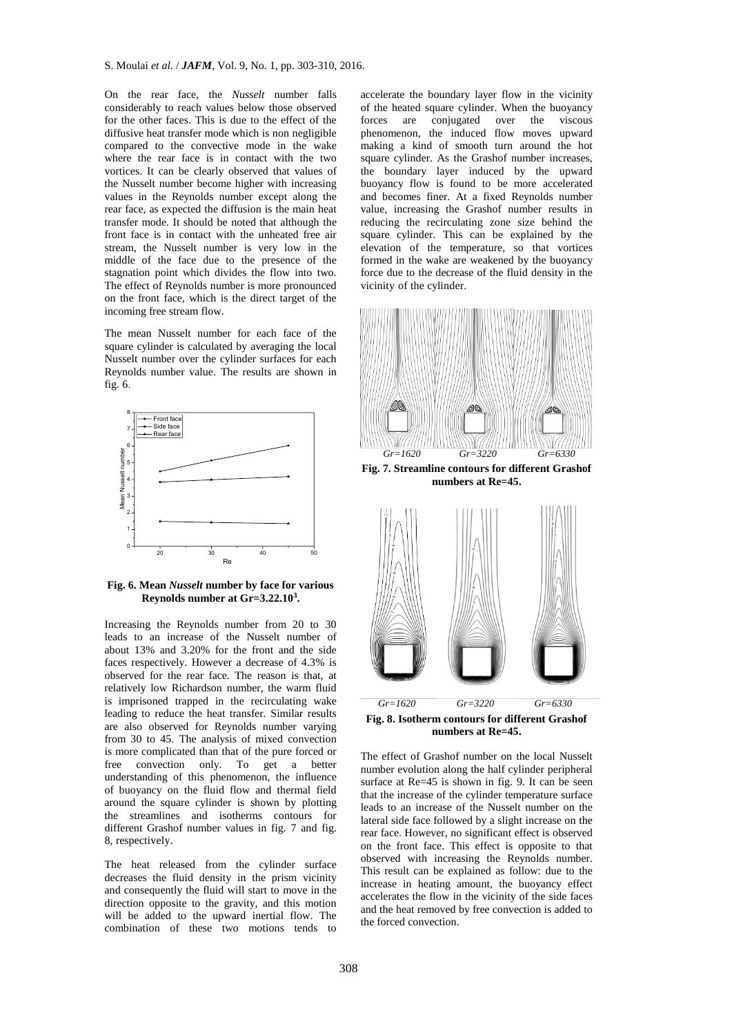On the rear face, the *Nusselt* number falls considerably to reach values below those observed for the other faces. This is due to the effect of the diffusive heat transfer mode which is non negligible compared to the convective mode in the wake where the rear face is in contact with the two vortices. It can be clearly observed that values of the Nusselt number become higher with increasing values in the Reynolds number except along the rear face, as expected the diffusion is the main heat transfer mode. It should be noted that although the front face is in contact with the unheated free air stream, the Nusselt number is very low in the middle of the face due to the presence of the stagnation point which divides the flow into two. The effect of Reynolds number is more pronounced on the front face, which is the direct target of the incoming free stream flow.

The mean Nusselt number for each face of the square cylinder is calculated by averaging the local Nusselt number over the cylinder surfaces for each Reynolds number value. The results are shown in fig. 6.



**Fig. 6. Mean** *Nusselt* **number by face for various Reynolds number at Gr=3.22.10<sup>3</sup> .**

Increasing the Reynolds number from 20 to 30 leads to an increase of the Nusselt number of about 13% and 3.20% for the front and the side faces respectively. However a decrease of 4.3% is observed for the rear face. The reason is that, at relatively low Richardson number, the warm fluid is imprisoned trapped in the recirculating wake leading to reduce the heat transfer. Similar results are also observed for Reynolds number varying from 30 to 45. The analysis of mixed convection is more complicated than that of the pure forced or free convection only. To get a better understanding of this phenomenon, the influence of buoyancy on the fluid flow and thermal field around the square cylinder is shown by plotting the streamlines and isotherms contours for different Grashof number values in fig. 7 and fig. 8, respectively.

The heat released from the cylinder surface decreases the fluid density in the prism vicinity and consequently the fluid will start to move in the direction opposite to the gravity, and this motion will be added to the upward inertial flow. The combination of these two motions tends to

accelerate the boundary layer flow in the vicinity of the heated square cylinder. When the buoyancy<br>forces are conjugated over the viscous conjugated over the phenomenon, the induced flow moves upward making a kind of smooth turn around the hot square cylinder. As the Grashof number increases, the boundary layer induced by the upward buoyancy flow is found to be more accelerated and becomes finer. At a fixed Reynolds number value, increasing the Grashof number results in reducing the recirculating zone size behind the square cylinder. This can be explained by the elevation of the temperature, so that vortices formed in the wake are weakened by the buoyancy force due to the decrease of the fluid density in the vicinity of the cylinder.



**Fig. 7. Streamline contours for different Grashof numbers at Re=45.**



**Fig. 8. Isotherm contours for different Grashof numbers at Re=45.**

The effect of Grashof number on the local Nusselt number evolution along the half cylinder peripheral surface at Re=45 is shown in fig. 9. It can be seen that the increase of the cylinder temperature surface leads to an increase of the Nusselt number on the lateral side face followed by a slight increase on the rear face. However, no significant effect is observed on the front face. This effect is opposite to that observed with increasing the Reynolds number. This result can be explained as follow: due to the increase in heating amount, the buoyancy effect accelerates the flow in the vicinity of the side faces and the heat removed by free convection is added to the forced convection.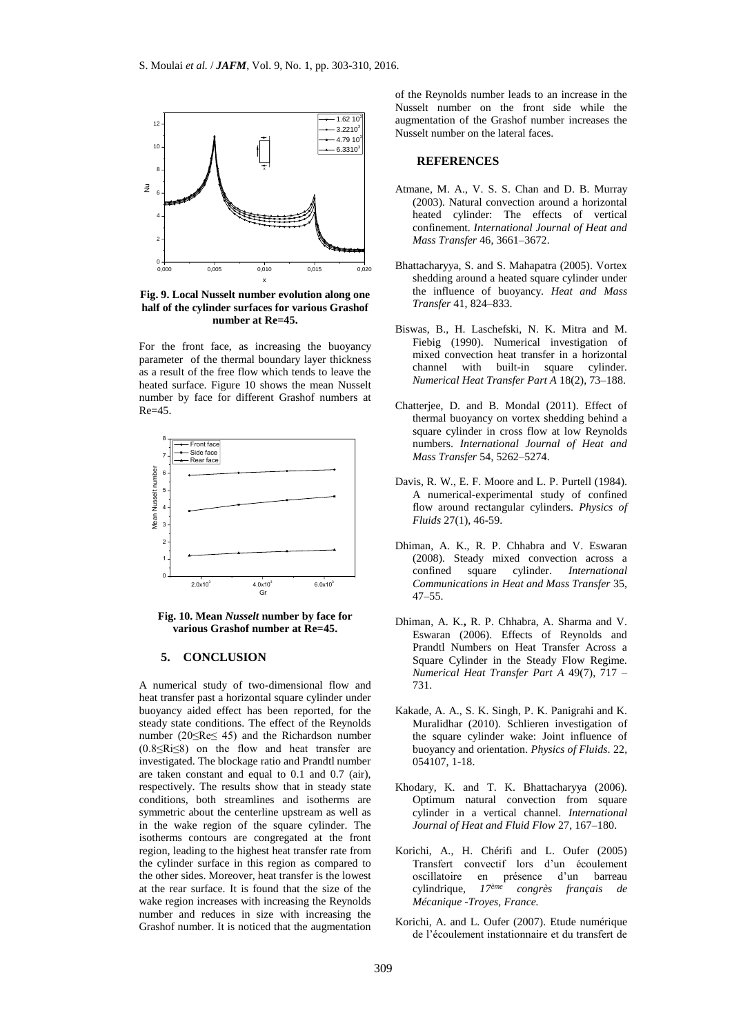

**Fig. 9. Local Nusselt number evolution along one half of the cylinder surfaces for various Grashof number at Re=45.**

For the front face, as increasing the buoyancy parameter of the thermal boundary layer thickness as a result of the free flow which tends to leave the heated surface. Figure 10 shows the mean Nusselt number by face for different Grashof numbers at  $Re=45$ .



**Fig. 10. Mean** *Nusselt* **number by face for various Grashof number at Re=45.**

#### **5. CONCLUSION**

A numerical study of two-dimensional flow and heat transfer past a horizontal square cylinder under buoyancy aided effect has been reported, for the steady state conditions. The effect of the Reynolds number (20≤Re≤ 45) and the Richardson number (0.8≤Ri≤8) on the flow and heat transfer are investigated. The blockage ratio and Prandtl number are taken constant and equal to 0.1 and 0.7 (air), respectively. The results show that in steady state conditions, both streamlines and isotherms are symmetric about the centerline upstream as well as in the wake region of the square cylinder. The isotherms contours are congregated at the front region, leading to the highest heat transfer rate from the cylinder surface in this region as compared to the other sides. Moreover, heat transfer is the lowest at the rear surface. It is found that the size of the wake region increases with increasing the Reynolds number and reduces in size with increasing the Grashof number. It is noticed that the augmentation

of the Reynolds number leads to an increase in the Nusselt number on the front side while the augmentation of the Grashof number increases the Nusselt number on the lateral faces.

#### **REFERENCES**

- Atmane, M. A., V. S. S. Chan and D. B. Murray (2003). Natural convection around a horizontal heated cylinder: The effects of vertical confinement. *International Journal of Heat and Mass Transfer* 46, 3661–3672.
- Bhattacharyya, S. and S. Mahapatra (2005). Vortex shedding around a heated square cylinder under the influence of buoyancy. *Heat and Mass Transfer* 41, 824–833.
- Biswas, B., H. Laschefski, N. K. Mitra and M. Fiebig (1990). Numerical investigation of mixed convection heat transfer in a horizontal channel with built-in square cylinder*. Numerical Heat Transfer Part A* 18(2), 73–188.
- Chatterjee, D. and B. Mondal (2011). Effect of thermal buoyancy on vortex shedding behind a square cylinder in cross flow at low Reynolds numbers. *International Journal of Heat and Mass Transfer* 54, 5262–5274.
- Davis, R. W., E. F. Moore and L. P. Purtell (1984). A numerical-experimental study of confined flow around rectangular cylinders. *Physics of Fluids* 27(1), 46-59.
- Dhiman, A. K., R. P. Chhabra and V. Eswaran (2008). Steady mixed convection across a confined square cylinder. *International Communications in Heat and Mass Transfer* 35, 47–55.
- Dhiman, A. K.**,** R. P. Chhabra, A. Sharma and V. Eswaran (2006). Effects of Reynolds and Prandtl Numbers on Heat Transfer Across a Square Cylinder in the Steady Flow Regime. *Numerical Heat Transfer Part A* 49(7), 717 – 731.
- Kakade, A. A., S. K. Singh, P. K. Panigrahi and K. Muralidhar (2010). Schlieren investigation of the square cylinder wake: Joint influence of buoyancy and orientation. *Physics of Fluids*. 22, 054107, 1-18.
- Khodary, K. and T. K. Bhattacharyya (2006). Optimum natural convection from square cylinder in a vertical channel. *International Journal of Heat and Fluid Flow* 27, 167–180.
- Korichi, A., H. Chérifi and L. Oufer (2005) Transfert convectif lors d'un écoulement oscillatoire en présence d'un barreau<br>cylindrique,  $17e^{im\epsilon}$  congrès francais de cylindrique*, 17ème congrès français de Mécanique* -*Troyes, France.*
- Korichi, A. and L. Oufer (2007). Etude numérique de l'écoulement instationnaire et du transfert de